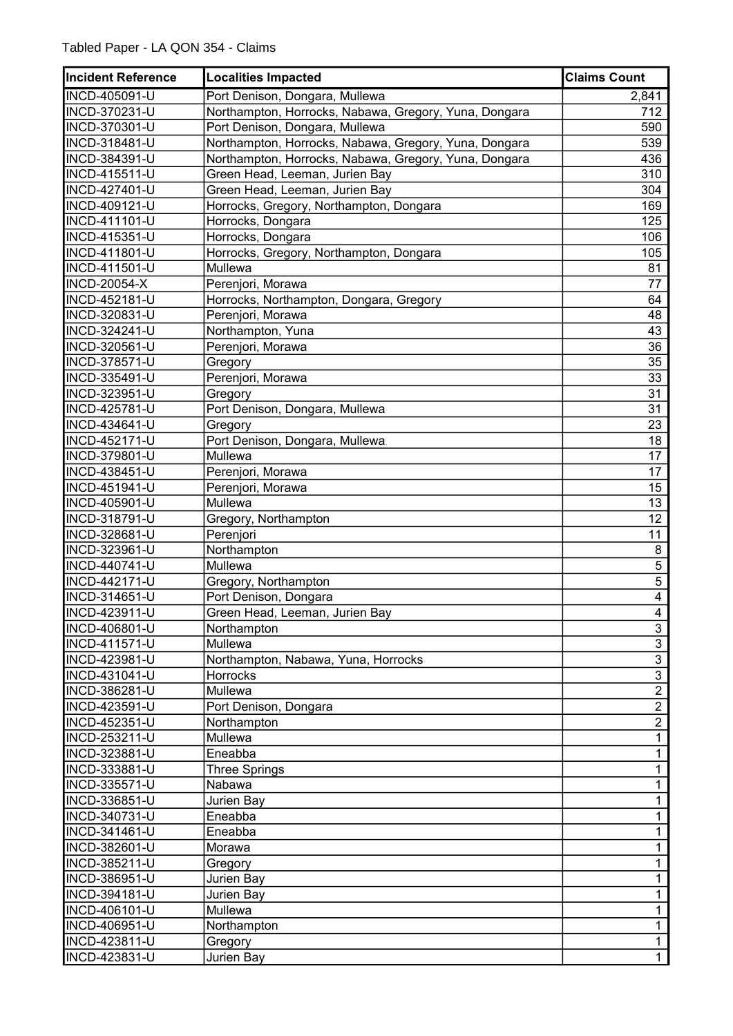| <b>Incident Reference</b> | <b>Localities Impacted</b>                            | <b>Claims Count</b>     |
|---------------------------|-------------------------------------------------------|-------------------------|
| <b>INCD-405091-U</b>      | Port Denison, Dongara, Mullewa                        | 2,841                   |
| INCD-370231-U             | Northampton, Horrocks, Nabawa, Gregory, Yuna, Dongara | 712                     |
| INCD-370301-U             | Port Denison, Dongara, Mullewa                        | 590                     |
| INCD-318481-U             | Northampton, Horrocks, Nabawa, Gregory, Yuna, Dongara | 539                     |
| INCD-384391-U             | Northampton, Horrocks, Nabawa, Gregory, Yuna, Dongara | 436                     |
| INCD-415511-U             | Green Head, Leeman, Jurien Bay                        | 310                     |
| INCD-427401-U             | Green Head, Leeman, Jurien Bay                        | 304                     |
| INCD-409121-U             | Horrocks, Gregory, Northampton, Dongara               | 169                     |
| INCD-411101-U             | Horrocks, Dongara                                     | 125                     |
| INCD-415351-U             | Horrocks, Dongara                                     | 106                     |
| INCD-411801-U             | Horrocks, Gregory, Northampton, Dongara               | 105                     |
| INCD-411501-U             | Mullewa                                               | 81                      |
| <b>INCD-20054-X</b>       | Perenjori, Morawa                                     | 77                      |
| INCD-452181-U             | Horrocks, Northampton, Dongara, Gregory               | 64                      |
| INCD-320831-U             | Perenjori, Morawa                                     | 48                      |
| INCD-324241-U             | Northampton, Yuna                                     | 43                      |
| INCD-320561-U             | Perenjori, Morawa                                     | 36                      |
| INCD-378571-U             | Gregory                                               | 35                      |
| INCD-335491-U             | Perenjori, Morawa                                     | 33                      |
| INCD-323951-U             | Gregory                                               | 31                      |
| INCD-425781-U             | Port Denison, Dongara, Mullewa                        | 31                      |
| INCD-434641-U             | Gregory                                               | 23                      |
| INCD-452171-U             | Port Denison, Dongara, Mullewa                        | 18                      |
| INCD-379801-U             | Mullewa                                               | 17                      |
| INCD-438451-U             | Perenjori, Morawa                                     | 17                      |
| INCD-451941-U             | Perenjori, Morawa                                     | 15                      |
| INCD-405901-U             | Mullewa                                               | 13                      |
| INCD-318791-U             | Gregory, Northampton                                  | $\overline{12}$         |
| INCD-328681-U             | Perenjori                                             | 11                      |
| INCD-323961-U             | Northampton                                           | 8                       |
| INCD-440741-U             | Mullewa                                               | $\overline{5}$          |
| <b>INCD-442171-U</b>      | Gregory, Northampton                                  | $\overline{5}$          |
| INCD-314651-U             | Port Denison, Dongara                                 | $\overline{\mathbf{4}}$ |
| INCD-423911-U             | Green Head, Leeman, Jurien Bay                        | $\overline{\mathbf{4}}$ |
| INCD-406801-U             | Northampton                                           | 3                       |
| <b>INCD-411571-U</b>      | Mullewa                                               | $\overline{3}$          |
| INCD-423981-U             | Northampton, Nabawa, Yuna, Horrocks                   | $\overline{3}$          |
| INCD-431041-U             | <b>Horrocks</b>                                       | $\overline{3}$          |
| INCD-386281-U             | Mullewa                                               | $\overline{2}$          |
| INCD-423591-U             | Port Denison, Dongara                                 | $\overline{2}$          |
| INCD-452351-U             | Northampton                                           | $\overline{2}$          |
| INCD-253211-U             | Mullewa                                               | $\mathbf{1}$            |
| INCD-323881-U             | Eneabba                                               | $\mathbf{1}$            |
| INCD-333881-U             | <b>Three Springs</b>                                  | 1                       |
| INCD-335571-U             | Nabawa                                                | 1                       |
| INCD-336851-U             | Jurien Bay                                            | 1                       |
| INCD-340731-U             | Eneabba                                               | 1                       |
| INCD-341461-U             | Eneabba                                               | 1                       |
| INCD-382601-U             | Morawa                                                | 1                       |
| INCD-385211-U             | Gregory                                               | 1                       |
| INCD-386951-U             | Jurien Bay                                            | 1                       |
| INCD-394181-U             | Jurien Bay                                            | 1                       |
| INCD-406101-U             | Mullewa                                               | 1                       |
| INCD-406951-U             | Northampton                                           | $\mathbf{1}$            |
| INCD-423811-U             | Gregory                                               | $\mathbf{1}$            |
| INCD-423831-U             | Jurien Bay                                            | $\mathbf{1}$            |